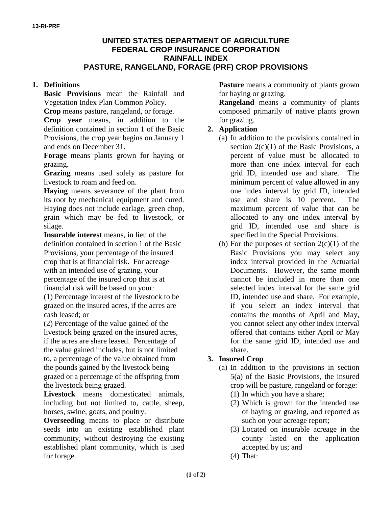### **UNITED STATES DEPARTMENT OF AGRICULTURE FEDERAL CROP INSURANCE CORPORATION RAINFALL INDEX PASTURE, RANGELAND, FORAGE (PRF) CROP PROVISIONS**

## **1. Definitions**

**Basic Provisions** mean the Rainfall and Vegetation Index Plan Common Policy.

**Crop** means pasture, rangeland, or forage.

**Crop year** means, in addition to the definition contained in section 1 of the Basic Provisions, the crop year begins on January 1 and ends on December 31.

**Forage** means plants grown for haying or grazing.

**Grazing** means used solely as pasture for livestock to roam and feed on.

**Haying** means severance of the plant from its root by mechanical equipment and cured. Haying does not include earlage, green chop, grain which may be fed to livestock, or silage.

**Insurable interest** means, in lieu of the definition contained in section 1 of the Basic Provisions, your percentage of the insured crop that is at financial risk. For acreage with an intended use of grazing, your percentage of the insured crop that is at financial risk will be based on your:

(1) Percentage interest of the livestock to be grazed on the insured acres, if the acres are cash leased; or

(2) Percentage of the value gained of the livestock being grazed on the insured acres, if the acres are share leased. Percentage of the value gained includes, but is not limited to, a percentage of the value obtained from the pounds gained by the livestock being grazed or a percentage of the offspring from the livestock being grazed.

**Livestock** means domesticated animals, including but not limited to, cattle, sheep, horses, swine, goats, and poultry.

**Overseeding** means to place or distribute seeds into an existing established plant community, without destroying the existing established plant community, which is used for forage.

**Pasture** means a community of plants grown for haying or grazing.

**Rangeland** means a community of plants composed primarily of native plants grown for grazing.

## **2. Application**

- (a) In addition to the provisions contained in section  $2(c)(1)$  of the Basic Provisions, a percent of value must be allocated to more than one index interval for each grid ID, intended use and share. The minimum percent of value allowed in any one index interval by grid ID, intended use and share is 10 percent. The maximum percent of value that can be allocated to any one index interval by grid ID, intended use and share is specified in the Special Provisions.
- (b) For the purposes of section  $2(c)(1)$  of the Basic Provisions you may select any index interval provided in the Actuarial Documents. However, the same month cannot be included in more than one selected index interval for the same grid ID, intended use and share. For example, if you select an index interval that contains the months of April and May, you cannot select any other index interval offered that contains either April or May for the same grid ID, intended use and share.

# **3. Insured Crop**

- (a) In addition to the provisions in section 5(a) of the Basic Provisions, the insured crop will be pasture, rangeland or forage:
	- (1) In which you have a share;
	- (2) Which is grown for the intended use of haying or grazing, and reported as such on your acreage report;
	- (3) Located on insurable acreage in the county listed on the application accepted by us; and
	- (4) That: